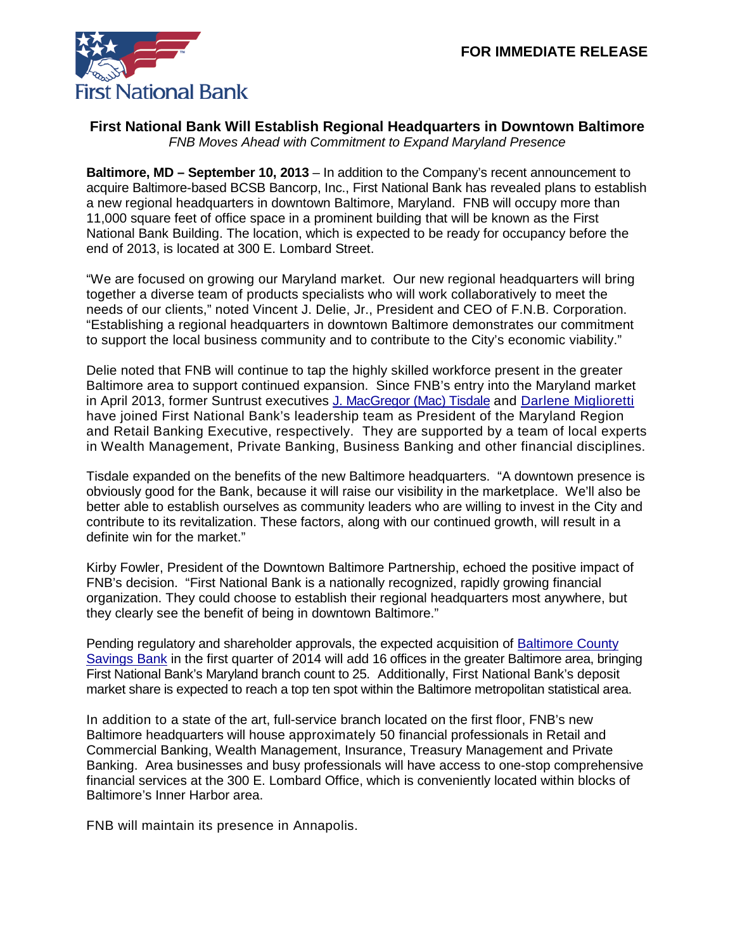

### **First National Bank Will Establish Regional Headquarters in Downtown Baltimore** *FNB Moves Ahead with Commitment to Expand Maryland Presence*

**Baltimore, MD – September 10, 2013** – In addition to the Company's recent announcement to acquire Baltimore-based BCSB Bancorp, Inc., First National Bank has revealed plans to establish a new regional headquarters in downtown Baltimore, Maryland. FNB will occupy more than 11,000 square feet of office space in a prominent building that will be known as the First National Bank Building. The location, which is expected to be ready for occupancy before the end of 2013, is located at 300 E. Lombard Street.

"We are focused on growing our Maryland market. Our new regional headquarters will bring together a diverse team of products specialists who will work collaboratively to meet the needs of our clients," noted Vincent J. Delie, Jr., President and CEO of F.N.B. Corporation. "Establishing a regional headquarters in downtown Baltimore demonstrates our commitment to support the local business community and to contribute to the City's economic viability."

Delie noted that FNB will continue to tap the highly skilled workforce present in the greater Baltimore area to support continued expansion. Since FNB's entry into the Maryland market in April 2013, former Suntrust executives [J. MacGregor \(Mac\) Tisdale](https://www.fnb-online.com/News/2013/January/January172013.aspx) and [Darlene Miglioretti](https://www.fnb-online.com/News/2013/June/June262013.aspx) have joined First National Bank's leadership team as President of the Maryland Region and Retail Banking Executive, respectively. They are supported by a team of local experts in Wealth Management, Private Banking, Business Banking and other financial disciplines.

Tisdale expanded on the benefits of the new Baltimore headquarters. "A downtown presence is obviously good for the Bank, because it will raise our visibility in the marketplace. We'll also be better able to establish ourselves as community leaders who are willing to invest in the City and contribute to its revitalization. These factors, along with our continued growth, will result in a definite win for the market."

Kirby Fowler, President of the Downtown Baltimore Partnership, echoed the positive impact of FNB's decision. "First National Bank is a nationally recognized, rapidly growing financial organization. They could choose to establish their regional headquarters most anywhere, but they clearly see the benefit of being in downtown Baltimore."

Pending regulatory and shareholder approvals, the expected acquisition of [Baltimore County](http://www.fnbcorporation.com/NewsandPressReleases/2013/June/June142013.aspx)  [Savings Bank](http://www.fnbcorporation.com/NewsandPressReleases/2013/June/June142013.aspx) in the first quarter of 2014 will add 16 offices in the greater Baltimore area, bringing First National Bank's Maryland branch count to 25. Additionally, First National Bank's deposit market share is expected to reach a top ten spot within the Baltimore metropolitan statistical area.

In addition to a state of the art, full-service branch located on the first floor, FNB's new Baltimore headquarters will house approximately 50 financial professionals in Retail and Commercial Banking, Wealth Management, Insurance, Treasury Management and Private Banking. Area businesses and busy professionals will have access to one-stop comprehensive financial services at the 300 E. Lombard Office, which is conveniently located within blocks of Baltimore's Inner Harbor area.

FNB will maintain its presence in Annapolis.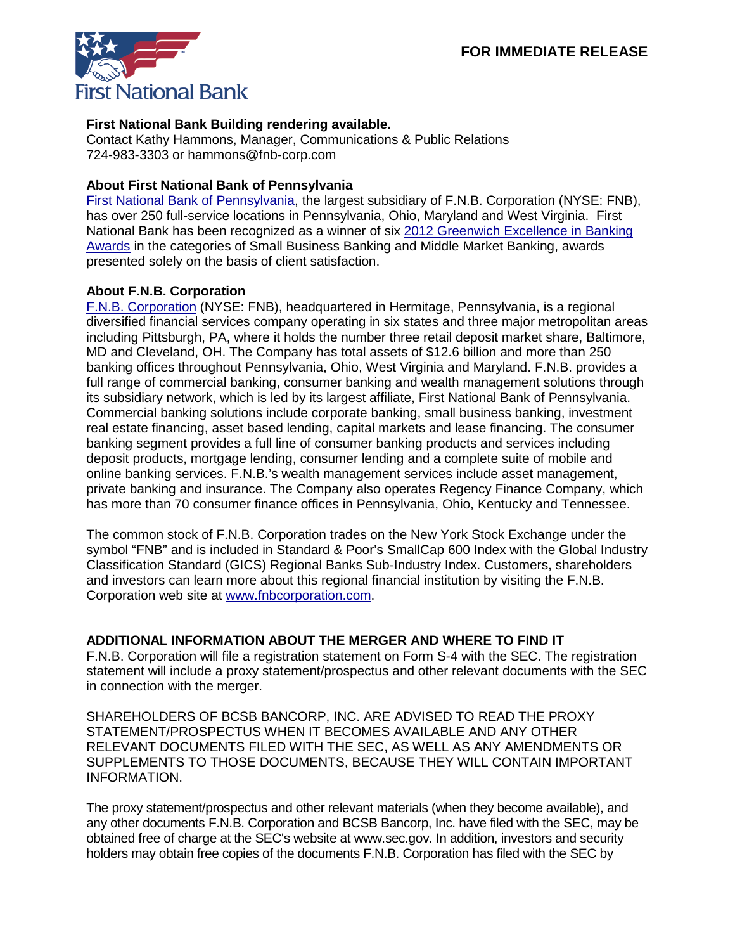

# **First National Bank Building rendering available.**

Contact Kathy Hammons, Manager, Communications & Public Relations 724-983-3303 or hammons@fnb-corp.com

## **About First National Bank of Pennsylvania**

[First National Bank of Pennsylvania,](https://www.fnb-online.com/) the largest subsidiary of F.N.B. Corporation (NYSE: FNB), has over 250 full-service locations in Pennsylvania, Ohio, Maryland and West Virginia. First National Bank has been recognized as a winner of six [2012 Greenwich Excellence in Banking](https://www.fnb-online.com/News/2013/February/February212013.aspx)  [Awards](https://www.fnb-online.com/News/2013/February/February212013.aspx) in the categories of Small Business Banking and Middle Market Banking, awards presented solely on the basis of client satisfaction.

## **About F.N.B. Corporation**

[F.N.B. Corporation](http://www.fnbcorporation.com/) (NYSE: FNB), headquartered in Hermitage, Pennsylvania, is a regional diversified financial services company operating in six states and three major metropolitan areas including Pittsburgh, PA, where it holds the number three retail deposit market share, Baltimore, MD and Cleveland, OH. The Company has total assets of \$12.6 billion and more than 250 banking offices throughout Pennsylvania, Ohio, West Virginia and Maryland. F.N.B. provides a full range of commercial banking, consumer banking and wealth management solutions through its subsidiary network, which is led by its largest affiliate, First National Bank of Pennsylvania. Commercial banking solutions include corporate banking, small business banking, investment real estate financing, asset based lending, capital markets and lease financing. The consumer banking segment provides a full line of consumer banking products and services including deposit products, mortgage lending, consumer lending and a complete suite of mobile and online banking services. F.N.B.'s wealth management services include asset management, private banking and insurance. The Company also operates Regency Finance Company, which has more than 70 consumer finance offices in Pennsylvania, Ohio, Kentucky and Tennessee.

The common stock of F.N.B. Corporation trades on the New York Stock Exchange under the symbol "FNB" and is included in Standard & Poor's SmallCap 600 Index with the Global Industry Classification Standard (GICS) Regional Banks Sub-Industry Index. Customers, shareholders and investors can learn more about this regional financial institution by visiting the F.N.B. Corporation web site at [www.fnbcorporation.com.](http://www.fnbcorporation.com/)

## **ADDITIONAL INFORMATION ABOUT THE MERGER AND WHERE TO FIND IT**

F.N.B. Corporation will file a registration statement on Form S-4 with the SEC. The registration statement will include a proxy statement/prospectus and other relevant documents with the SEC in connection with the merger.

SHAREHOLDERS OF BCSB BANCORP, INC. ARE ADVISED TO READ THE PROXY STATEMENT/PROSPECTUS WHEN IT BECOMES AVAILABLE AND ANY OTHER RELEVANT DOCUMENTS FILED WITH THE SEC, AS WELL AS ANY AMENDMENTS OR SUPPLEMENTS TO THOSE DOCUMENTS, BECAUSE THEY WILL CONTAIN IMPORTANT INFORMATION.

The proxy statement/prospectus and other relevant materials (when they become available), and any other documents F.N.B. Corporation and BCSB Bancorp, Inc. have filed with the SEC, may be obtained free of charge at the SEC's website at www.sec.gov. In addition, investors and security holders may obtain free copies of the documents F.N.B. Corporation has filed with the SEC by